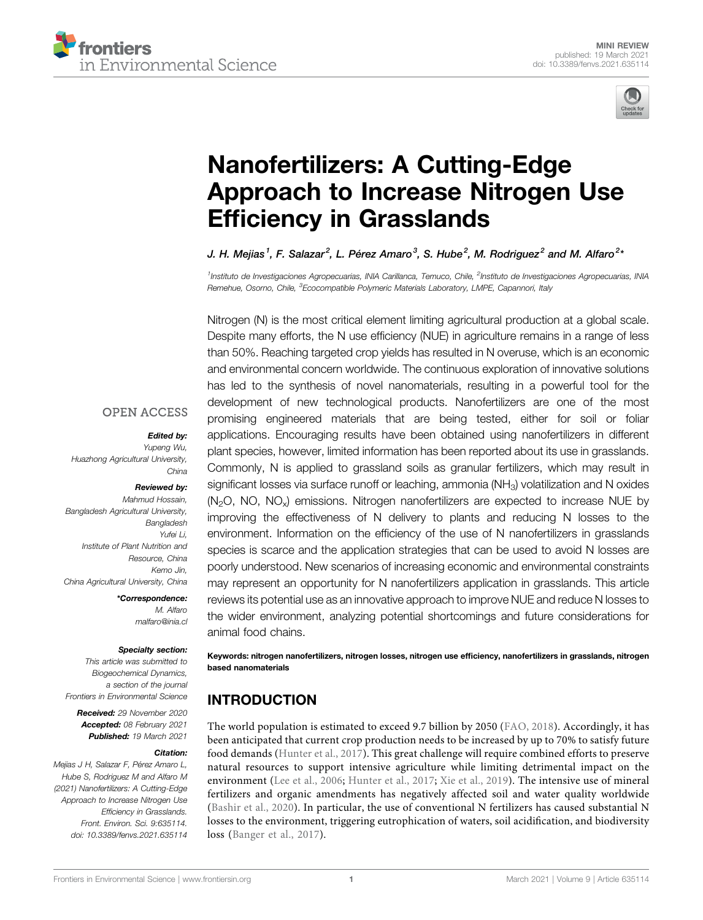



# [Nanofertilizers: A Cutting-Edge](https://www.frontiersin.org/articles/10.3389/fenvs.2021.635114/full) [Approach to Increase Nitrogen Use](https://www.frontiersin.org/articles/10.3389/fenvs.2021.635114/full) Effi[ciency in Grasslands](https://www.frontiersin.org/articles/10.3389/fenvs.2021.635114/full)

J. H. Mejias<sup>1</sup>, F. Salazar<sup>2</sup>, L. Pérez Amaro<sup>3</sup>, S. Hube<sup>2</sup>, M. Rodriguez<sup>2</sup> and M. Alfaro<sup>2</sup>'

<sup>1</sup>Instituto de Investigaciones Agropecuarias, INIA Carillanca, Temuco, Chile, <sup>2</sup>Instituto de Investigaciones Agropecuarias, INIA Remehue, Osorno, Chile, <sup>3</sup>Ecocompatible Polymeric Materials Laboratory, LMPE, Capannori, Italy

Nitrogen (N) is the most critical element limiting agricultural production at a global scale. Despite many efforts, the N use efficiency (NUE) in agriculture remains in a range of less than 50%. Reaching targeted crop yields has resulted in N overuse, which is an economic and environmental concern worldwide. The continuous exploration of innovative solutions has led to the synthesis of novel nanomaterials, resulting in a powerful tool for the development of new technological products. Nanofertilizers are one of the most promising engineered materials that are being tested, either for soil or foliar applications. Encouraging results have been obtained using nanofertilizers in different plant species, however, limited information has been reported about its use in grasslands. Commonly, N is applied to grassland soils as granular fertilizers, which may result in significant losses via surface runoff or leaching, ammonia  $(NH<sub>3</sub>)$  volatilization and N oxides  $(N<sub>2</sub>O, NO, NO<sub>x</sub>)$  emissions. Nitrogen nanofertilizers are expected to increase NUE by improving the effectiveness of N delivery to plants and reducing N losses to the environment. Information on the efficiency of the use of N nanofertilizers in grasslands species is scarce and the application strategies that can be used to avoid N losses are poorly understood. New scenarios of increasing economic and environmental constraints may represent an opportunity for N nanofertilizers application in grasslands. This article reviews its potential use as an innovative approach to improve NUE and reduce N losses to the wider environment, analyzing potential shortcomings and future considerations for animal food chains.

Keywords: nitrogen nanofertilizers, nitrogen losses, nitrogen use efficiency, nanofertilizers in grasslands, nitrogen based nanomaterials

# INTRODUCTION

The world population is estimated to exceed 9.7 billion by 2050 ([FAO, 2018](#page-5-0)). Accordingly, it has been anticipated that current crop production needs to be increased by up to 70% to satisfy future food demands ([Hunter et al., 2017](#page-6-0)). This great challenge will require combined efforts to preserve natural resources to support intensive agriculture while limiting detrimental impact on the environment ([Lee et al., 2006](#page-6-1); [Hunter et al., 2017](#page-6-0); [Xie et al., 2019\)](#page-7-0). The intensive use of mineral fertilizers and organic amendments has negatively affected soil and water quality worldwide ([Bashir et al., 2020\)](#page-5-1). In particular, the use of conventional N fertilizers has caused substantial N losses to the environment, triggering eutrophication of waters, soil acidification, and biodiversity loss ([Banger et al., 2017\)](#page-5-2).

### **OPEN ACCESS**

#### Edited by:

Yupeng Wu, Huazhong Agricultural University, China

#### Reviewed by:

Mahmud Hossain, Bangladesh Agricultural University, Bangladesh Yufei Li, Institute of Plant Nutrition and Resource, China Kemo Jin, China Agricultural University, China

> \*Correspondence: M. Alfaro [malfaro@inia.cl](mailto:malfaro@inia.cl)

#### Specialty section:

This article was submitted to Biogeochemical Dynamics, a section of the journal Frontiers in Environmental Science

Received: 29 November 2020 Accepted: 08 February 2021 Published: 19 March 2021

#### Citation:

Mejias J H, Salazar F, Pérez Amaro L, Hube S, Rodriguez M and Alfaro M (2021) Nanofertilizers: A Cutting-Edge Approach to Increase Nitrogen Use Efficiency in Grasslands. Front. Environ. Sci. 9:635114. doi: [10.3389/fenvs.2021.635114](https://doi.org/10.3389/fenvs.2021.635114)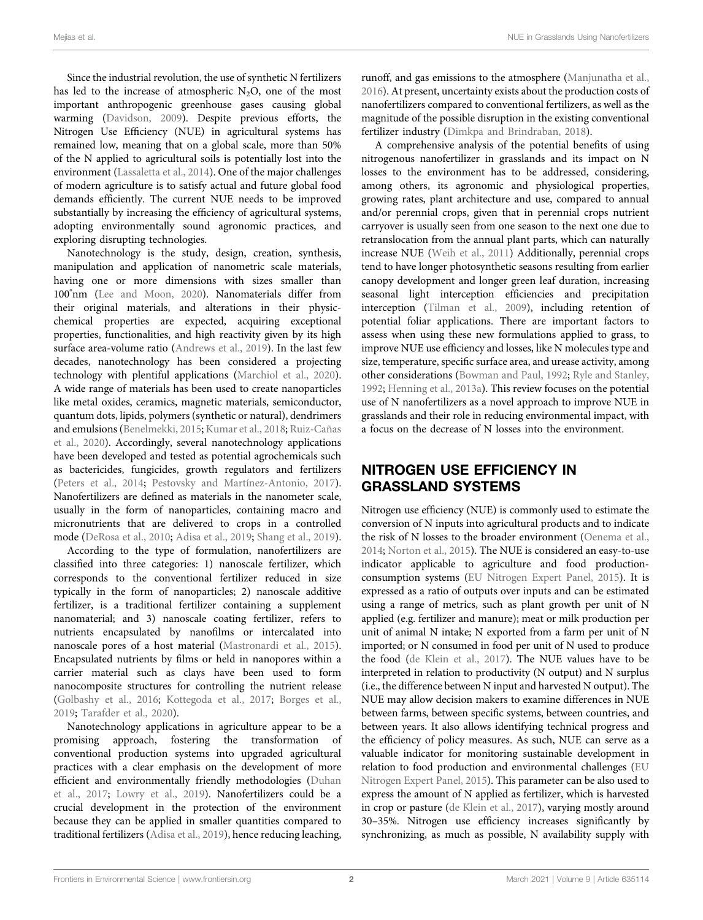Since the industrial revolution, the use of synthetic N fertilizers has led to the increase of atmospheric  $N_2O$ , one of the most important anthropogenic greenhouse gases causing global warming ([Davidson, 2009](#page-5-3)). Despite previous efforts, the Nitrogen Use Efficiency (NUE) in agricultural systems has remained low, meaning that on a global scale, more than 50% of the N applied to agricultural soils is potentially lost into the environment [\(Lassaletta et al., 2014](#page-7-1)). One of the major challenges of modern agriculture is to satisfy actual and future global food demands efficiently. The current NUE needs to be improved substantially by increasing the efficiency of agricultural systems, adopting environmentally sound agronomic practices, and exploring disrupting technologies.

Nanotechnology is the study, design, creation, synthesis, manipulation and application of nanometric scale materials, having one or more dimensions with sizes smaller than 100° nm [\(Lee and Moon, 2020](#page-6-2)). Nanomaterials differ from their original materials, and alterations in their physicchemical properties are expected, acquiring exceptional properties, functionalities, and high reactivity given by its high surface area-volume ratio [\(Andrews et al., 2019](#page-5-4)). In the last few decades, nanotechnology has been considered a projecting technology with plentiful applications ([Marchiol et al., 2020\)](#page-6-3). A wide range of materials has been used to create nanoparticles like metal oxides, ceramics, magnetic materials, semiconductor, quantum dots, lipids, polymers (synthetic or natural), dendrimers and emulsions [\(Benelmekki, 2015;](#page-5-5) [Kumar et al., 2018;](#page-6-4) [Ruiz-Cañas](#page-7-2) [et al., 2020\)](#page-7-2). Accordingly, several nanotechnology applications have been developed and tested as potential agrochemicals such as bactericides, fungicides, growth regulators and fertilizers ([Peters et al., 2014;](#page-7-3) [Pestovsky and Martínez-Antonio, 2017\)](#page-7-4). Nanofertilizers are defined as materials in the nanometer scale, usually in the form of nanoparticles, containing macro and micronutrients that are delivered to crops in a controlled mode [\(DeRosa et al., 2010](#page-5-6); [Adisa et al., 2019](#page-5-7); [Shang et al., 2019\)](#page-7-5).

According to the type of formulation, nanofertilizers are classified into three categories: 1) nanoscale fertilizer, which corresponds to the conventional fertilizer reduced in size typically in the form of nanoparticles; 2) nanoscale additive fertilizer, is a traditional fertilizer containing a supplement nanomaterial; and 3) nanoscale coating fertilizer, refers to nutrients encapsulated by nanofilms or intercalated into nanoscale pores of a host material [\(Mastronardi et al., 2015\)](#page-6-5). Encapsulated nutrients by films or held in nanopores within a carrier material such as clays have been used to form nanocomposite structures for controlling the nutrient release ([Golbashy et al., 2016](#page-5-8); [Kottegoda et al., 2017;](#page-6-6) [Borges et al.,](#page-5-9) [2019](#page-5-9); [Tarafder et al., 2020](#page-7-6)).

Nanotechnology applications in agriculture appear to be a promising approach, fostering the transformation of conventional production systems into upgraded agricultural practices with a clear emphasis on the development of more efficient and environmentally friendly methodologies [\(Duhan](#page-5-10) [et al., 2017](#page-5-10); [Lowry et al., 2019](#page-6-7)). Nanofertilizers could be a crucial development in the protection of the environment because they can be applied in smaller quantities compared to traditional fertilizers ([Adisa et al., 2019\)](#page-5-7), hence reducing leaching,

runoff, and gas emissions to the atmosphere ([Manjunatha et al.,](#page-6-8) [2016](#page-6-8)). At present, uncertainty exists about the production costs of nanofertilizers compared to conventional fertilizers, as well as the magnitude of the possible disruption in the existing conventional fertilizer industry ([Dimkpa and Brindraban, 2018\)](#page-5-11).

A comprehensive analysis of the potential benefits of using nitrogenous nanofertilizer in grasslands and its impact on N losses to the environment has to be addressed, considering, among others, its agronomic and physiological properties, growing rates, plant architecture and use, compared to annual and/or perennial crops, given that in perennial crops nutrient carryover is usually seen from one season to the next one due to retranslocation from the annual plant parts, which can naturally increase NUE ([Weih et al., 2011\)](#page-7-7) Additionally, perennial crops tend to have longer photosynthetic seasons resulting from earlier canopy development and longer green leaf duration, increasing seasonal light interception efficiencies and precipitation interception [\(Tilman et al., 2009](#page-7-8)), including retention of potential foliar applications. There are important factors to assess when using these new formulations applied to grass, to improve NUE use efficiency and losses, like N molecules type and size, temperature, specific surface area, and urease activity, among other considerations ([Bowman and Paul, 1992;](#page-5-12) [Ryle and Stanley,](#page-7-9) [1992](#page-7-9); [Henning et al., 2013a](#page-6-9)). This review focuses on the potential use of N nanofertilizers as a novel approach to improve NUE in grasslands and their role in reducing environmental impact, with a focus on the decrease of N losses into the environment.

# NITROGEN USE EFFICIENCY IN GRASSLAND SYSTEMS

Nitrogen use efficiency (NUE) is commonly used to estimate the conversion of N inputs into agricultural products and to indicate the risk of N losses to the broader environment ([Oenema et al.,](#page-6-10) [2014](#page-6-10); [Norton et al., 2015\)](#page-6-11). The NUE is considered an easy-to-use indicator applicable to agriculture and food productionconsumption systems ([EU Nitrogen Expert Panel, 2015\)](#page-5-13). It is expressed as a ratio of outputs over inputs and can be estimated using a range of metrics, such as plant growth per unit of N applied (e.g. fertilizer and manure); meat or milk production per unit of animal N intake; N exported from a farm per unit of N imported; or N consumed in food per unit of N used to produce the food ([de Klein et al., 2017](#page-5-14)). The NUE values have to be interpreted in relation to productivity (N output) and N surplus (i.e., the difference between N input and harvested N output). The NUE may allow decision makers to examine differences in NUE between farms, between specific systems, between countries, and between years. It also allows identifying technical progress and the efficiency of policy measures. As such, NUE can serve as a valuable indicator for monitoring sustainable development in relation to food production and environmental challenges ([EU](#page-5-13) [Nitrogen Expert Panel, 2015\)](#page-5-13). This parameter can be also used to express the amount of N applied as fertilizer, which is harvested in crop or pasture ([de Klein et al., 2017\)](#page-5-14), varying mostly around 30–35%. Nitrogen use efficiency increases significantly by synchronizing, as much as possible, N availability supply with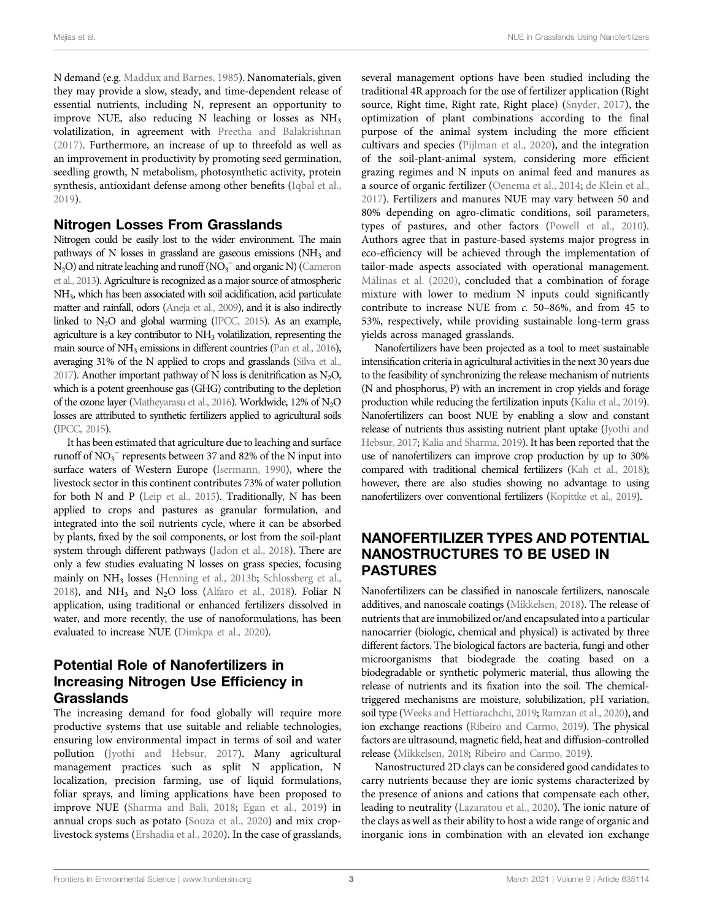N demand (e.g. [Maddux and Barnes, 1985](#page-6-12)). Nanomaterials, given they may provide a slow, steady, and time-dependent release of essential nutrients, including N, represent an opportunity to improve NUE, also reducing N leaching or losses as NH3 volatilization, in agreement with [Preetha and Balakrishnan](#page-7-10) [\(2017\)](#page-7-10). Furthermore, an increase of up to threefold as well as an improvement in productivity by promoting seed germination, seedling growth, N metabolism, photosynthetic activity, protein synthesis, antioxidant defense among other benefits [\(Iqbal et al.,](#page-6-13) [2019](#page-6-13)).

### Nitrogen Losses From Grasslands

Nitrogen could be easily lost to the wider environment. The main pathways of N losses in grassland are gaseous emissions  $(NH<sub>3</sub>$  and  $N_2O$ ) and nitrate leaching and runoff ( $NO_3^-$  and organic N) [\(Cameron](#page-5-15) [et al., 2013](#page-5-15)). Agriculture is recognized as a major source of atmospheric NH3, which has been associated with soil acidification, acid particulate matter and rainfall, odors [\(Aneja et al., 2009](#page-5-16)), and it is also indirectly linked to  $N_2O$  and global warming [\(IPCC, 2015\)](#page-6-14). As an example, agriculture is a key contributor to  $NH<sub>3</sub>$  volatilization, representing the main source of NH<sub>3</sub> emissions in different countries [\(Pan et al., 2016](#page-7-11)), averaging 31% of the N applied to crops and grasslands [\(Silva et al.,](#page-7-12) [2017](#page-7-12)). Another important pathway of N loss is denitrification as  $N_2O$ , which is a potent greenhouse gas (GHG) contributing to the depletion of the ozone layer [\(Matheyarasu et al., 2016\)](#page-6-15). Worldwide, 12% of N<sub>2</sub>O losses are attributed to synthetic fertilizers applied to agricultural soils [\(IPCC, 2015](#page-6-14)).

It has been estimated that agriculture due to leaching and surface runoff of  $NO<sub>3</sub><sup>-</sup>$  represents between 37 and 82% of the N input into surface waters of Western Europe [\(Isermann, 1990](#page-6-16)), where the livestock sector in this continent contributes 73% of water pollution for both N and P [\(Leip et al., 2015\)](#page-6-17). Traditionally, N has been applied to crops and pastures as granular formulation, and integrated into the soil nutrients cycle, where it can be absorbed by plants, fixed by the soil components, or lost from the soil-plant system through different pathways [\(Jadon et al., 2018](#page-6-18)). There are only a few studies evaluating N losses on grass species, focusing mainly on NH<sub>3</sub> losses [\(Henning et al., 2013b](#page-6-19); [Schlossberg et al.,](#page-7-13) [2018\)](#page-7-13), and NH<sub>3</sub> and N<sub>2</sub>O loss ([Alfaro et al., 2018](#page-5-17)). Foliar N application, using traditional or enhanced fertilizers dissolved in water, and more recently, the use of nanoformulations, has been evaluated to increase NUE ([Dimkpa et al., 2020](#page-5-18)).

# Potential Role of Nanofertilizers in Increasing Nitrogen Use Efficiency in Grasslands

The increasing demand for food globally will require more productive systems that use suitable and reliable technologies, ensuring low environmental impact in terms of soil and water pollution ([Jyothi and Hebsur, 2017\)](#page-6-20). Many agricultural management practices such as split N application, N localization, precision farming, use of liquid formulations, foliar sprays, and liming applications have been proposed to improve NUE [\(Sharma and Bali, 2018](#page-7-14); [Egan et al., 2019\)](#page-5-19) in annual crops such as potato ([Souza et al., 2020](#page-7-15)) and mix croplivestock systems ([Ershadia et al., 2020](#page-5-20)). In the case of grasslands,

several management options have been studied including the traditional 4R approach for the use of fertilizer application (Right source, Right time, Right rate, Right place) ([Snyder, 2017](#page-7-16)), the optimization of plant combinations according to the final purpose of the animal system including the more efficient cultivars and species ([Pijlman et al., 2020\)](#page-7-17), and the integration of the soil-plant-animal system, considering more efficient grazing regimes and N inputs on animal feed and manures as a source of organic fertilizer [\(Oenema et al., 2014;](#page-6-10) [de Klein et al.,](#page-5-14) [2017](#page-5-14)). Fertilizers and manures NUE may vary between 50 and 80% depending on agro-climatic conditions, soil parameters, types of pastures, and other factors ([Powell et al., 2010\)](#page-7-18). Authors agree that in pasture-based systems major progress in eco-efficiency will be achieved through the implementation of tailor-made aspects associated with operational management. [Málinas et al. \(2020\),](#page-6-21) concluded that a combination of forage mixture with lower to medium N inputs could significantly contribute to increase NUE from c. 50–86%, and from 45 to 53%, respectively, while providing sustainable long-term grass yields across managed grasslands.

Nanofertilizers have been projected as a tool to meet sustainable intensification criteria in agricultural activities in the next 30 years due to the feasibility of synchronizing the release mechanism of nutrients (N and phosphorus, P) with an increment in crop yields and forage production while reducing the fertilization inputs ([Kalia et al., 2019\)](#page-6-22). Nanofertilizers can boost NUE by enabling a slow and constant release of nutrients thus assisting nutrient plant uptake [\(Jyothi and](#page-6-20) [Hebsur, 2017;](#page-6-20) [Kalia and Sharma, 2019](#page-6-23)). It has been reported that the use of nanofertilizers can improve crop production by up to 30% compared with traditional chemical fertilizers ([Kah et al., 2018\)](#page-6-24); however, there are also studies showing no advantage to using nanofertilizers over conventional fertilizers [\(Kopittke et al., 2019](#page-6-25)).

## NANOFERTILIZER TYPES AND POTENTIAL NANOSTRUCTURES TO BE USED IN PASTURES

Nanofertilizers can be classified in nanoscale fertilizers, nanoscale additives, and nanoscale coatings [\(Mikkelsen, 2018\)](#page-6-26). The release of nutrients that are immobilized or/and encapsulated into a particular nanocarrier (biologic, chemical and physical) is activated by three different factors. The biological factors are bacteria, fungi and other microorganisms that biodegrade the coating based on a biodegradable or synthetic polymeric material, thus allowing the release of nutrients and its fixation into the soil. The chemicaltriggered mechanisms are moisture, solubilization, pH variation, soil type [\(Weeks and Hettiarachchi, 2019;](#page-7-19) [Ramzan et al., 2020\)](#page-7-20), and ion exchange reactions [\(Ribeiro and Carmo, 2019\)](#page-7-21). The physical factors are ultrasound, magnetic field, heat and diffusion-controlled release ([Mikkelsen, 2018;](#page-6-26) [Ribeiro and Carmo, 2019\)](#page-7-21).

Nanostructured 2D clays can be considered good candidates to carry nutrients because they are ionic systems characterized by the presence of anions and cations that compensate each other, leading to neutrality [\(Lazaratou et al., 2020\)](#page-6-27). The ionic nature of the clays as well as their ability to host a wide range of organic and inorganic ions in combination with an elevated ion exchange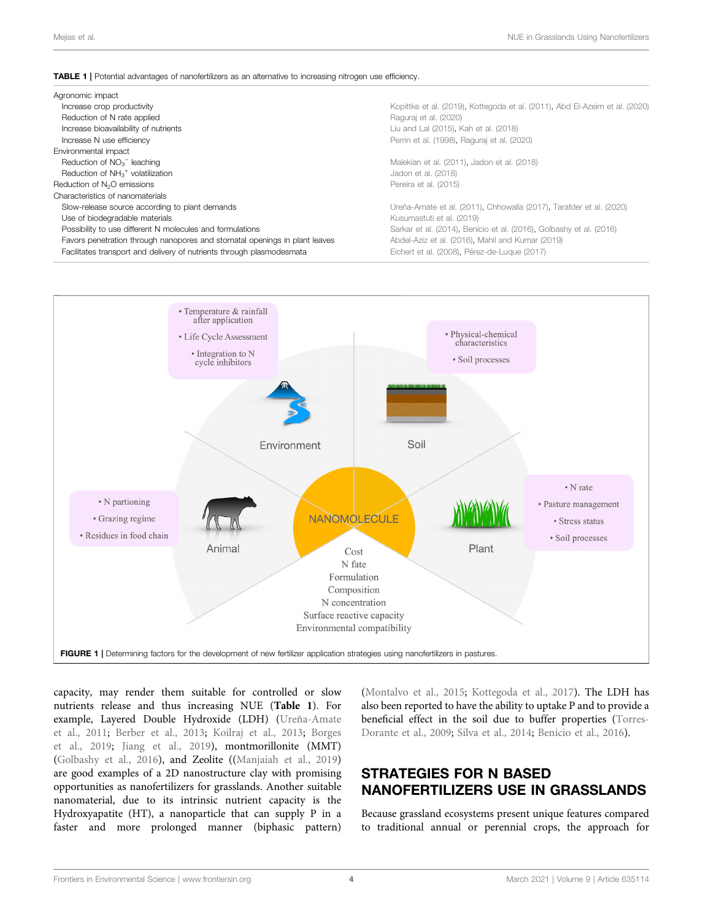#### <span id="page-3-0"></span>TABLE 1 | Potential advantages of nanofertilizers as an alternative to increasing nitrogen use efficiency.

| Agronomic impact                                                           |                                                                             |
|----------------------------------------------------------------------------|-----------------------------------------------------------------------------|
| Increase crop productivity                                                 | Kopittke et al. (2019). Kottegoda et al. (2011). Abd El-Azeim et al. (2020) |
| Reduction of N rate applied                                                | Raguraj et al. (2020)                                                       |
| Increase bioavailability of nutrients                                      | Liu and Lal (2015), Kah et al. (2018)                                       |
| Increase N use efficiency                                                  | Perrin et al. (1998), Raguraj et al. (2020)                                 |
| Environmental impact                                                       |                                                                             |
| Reduction of $NO3-$ leaching                                               | Malekian et al. (2011), Jadon et al. (2018)                                 |
| Reduction of $NH3+$ volatilization                                         | Jadon et al. (2018)                                                         |
| Reduction of N <sub>2</sub> O emissions                                    | Pereira et al. (2015)                                                       |
| Characteristics of nanomaterials                                           |                                                                             |
| Slow-release source according to plant demands                             | Ureña-Amate et al. (2011), Chhowalla (2017), Tarafder et al. (2020)         |
| Use of biodegradable materials                                             | Kusumastuti et al. (2019)                                                   |
| Possibility to use different N molecules and formulations                  | Sarkar et al. (2014), Benício et al. (2016), Golbashy et al. (2016)         |
| Favors penetration through nanopores and stomatal openings in plant leaves | Abdel-Aziz et al. (2016), Mahil and Kumar (2019)                            |
| Facilitates transport and delivery of nutrients through plasmodesmata      | Eichert et al. (2008), Pérez-de-Luque (2017)                                |



<span id="page-3-1"></span>capacity, may render them suitable for controlled or slow nutrients release and thus increasing NUE ([Table 1](#page-3-0)). For example, Layered Double Hydroxide (LDH) [\(Ureña-Amate](#page-7-22) [et al., 2011;](#page-7-22) [Berber et al., 2013](#page-5-21); [Koilraj et al., 2013;](#page-6-28) [Borges](#page-5-9) [et al., 2019;](#page-5-9) [Jiang et al., 2019\)](#page-6-29), montmorillonite (MMT) ([Golbashy et al., 2016\)](#page-5-8), and Zeolite ([\(Manjaiah et al., 2019\)](#page-6-30) are good examples of a 2D nanostructure clay with promising opportunities as nanofertilizers for grasslands. Another suitable nanomaterial, due to its intrinsic nutrient capacity is the Hydroxyapatite (HT), a nanoparticle that can supply P in a faster and more prolonged manner (biphasic pattern)

[\(Montalvo et al., 2015;](#page-6-31) [Kottegoda et al., 2017](#page-6-6)). The LDH has also been reported to have the ability to uptake P and to provide a beneficial effect in the soil due to buffer properties ([Torres-](#page-7-23)[Dorante et al., 2009](#page-7-23); [Silva et al., 2014](#page-7-24); [Benício et al., 2016\)](#page-5-22).

# STRATEGIES FOR N BASED NANOFERTILIZERS USE IN GRASSLANDS

Because grassland ecosystems present unique features compared to traditional annual or perennial crops, the approach for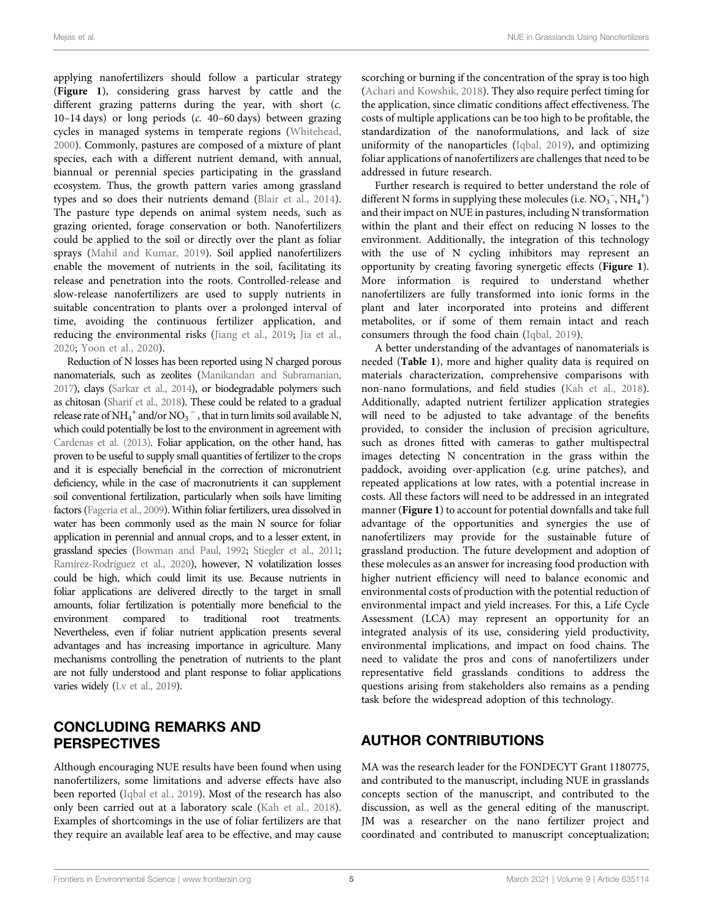applying nanofertilizers should follow a particular strategy ([Figure 1](#page-3-1)), considering grass harvest by cattle and the different grazing patterns during the year, with short (c. 10–14 days) or long periods (c. 40–60 days) between grazing cycles in managed systems in temperate regions ([Whitehead,](#page-7-30) [2000](#page-7-30)). Commonly, pastures are composed of a mixture of plant species, each with a different nutrient demand, with annual, biannual or perennial species participating in the grassland ecosystem. Thus, the growth pattern varies among grassland types and so does their nutrients demand [\(Blair et al., 2014\)](#page-5-27). The pasture type depends on animal system needs, such as grazing oriented, forage conservation or both. Nanofertilizers could be applied to the soil or directly over the plant as foliar sprays ([Mahil and Kumar, 2019](#page-6-36)). Soil applied nanofertilizers enable the movement of nutrients in the soil, facilitating its release and penetration into the roots. Controlled-release and slow-release nanofertilizers are used to supply nutrients in suitable concentration to plants over a prolonged interval of time, avoiding the continuous fertilizer application, and reducing the environmental risks ([Jiang et al., 2019](#page-6-29); [Jia et al.,](#page-6-37) [2020](#page-6-37); [Yoon et al., 2020](#page-7-31)).

Reduction of N losses has been reported using N charged porous nanomaterials, such as zeolites [\(Manikandan and Subramanian,](#page-6-38) [2017](#page-6-38)), clays [\(Sarkar et al., 2014](#page-7-28)), or biodegradable polymers such as chitosan [\(Sharif et al., 2018\)](#page-7-32). These could be related to a gradual release rate of NH<sub>4</sub><sup>+</sup> and/or NO<sub>3</sub><sup>-</sup>, that in turn limits soil available N, which could potentially be lost to the environment in agreement with [Cardenas et al. \(2013\)](#page-5-28). Foliar application, on the other hand, has proven to be useful to supply small quantities of fertilizer to the crops and it is especially beneficial in the correction of micronutrient deficiency, while in the case of macronutrients it can supplement soil conventional fertilization, particularly when soils have limiting factors [\(Fageria et al., 2009\)](#page-5-29). Within foliar fertilizers, urea dissolved in water has been commonly used as the main N source for foliar application in perennial and annual crops, and to a lesser extent, in grassland species [\(Bowman and Paul, 1992](#page-5-12); [Stiegler et al., 2011](#page-7-33); [Ramírez-Rodríguez et al., 2020](#page-7-34)), however, N volatilization losses could be high, which could limit its use. Because nutrients in foliar applications are delivered directly to the target in small amounts, foliar fertilization is potentially more beneficial to the environment compared to traditional root treatments. Nevertheless, even if foliar nutrient application presents several advantages and has increasing importance in agriculture. Many mechanisms controlling the penetration of nutrients to the plant are not fully understood and plant response to foliar applications varies widely [\(Lv et al., 2019](#page-6-39)).

### CONCLUDING REMARKS AND **PERSPECTIVES**

Although encouraging NUE results have been found when using nanofertilizers, some limitations and adverse effects have also been reported ([Iqbal et al., 2019](#page-6-13)). Most of the research has also only been carried out at a laboratory scale [\(Kah et al., 2018\)](#page-6-24). Examples of shortcomings in the use of foliar fertilizers are that they require an available leaf area to be effective, and may cause scorching or burning if the concentration of the spray is too high [\(Achari and Kowshik, 2018\)](#page-5-30). They also require perfect timing for the application, since climatic conditions affect effectiveness. The costs of multiple applications can be too high to be profitable, the standardization of the nanoformulations, and lack of size uniformity of the nanoparticles [\(Iqbal, 2019\)](#page-6-40), and optimizing foliar applications of nanofertilizers are challenges that need to be addressed in future research.

Further research is required to better understand the role of different N forms in supplying these molecules (i.e.  $\mathrm{NO_3}^-$  ,  $\mathrm{NH_4}^+$  ) and their impact on NUE in pastures, including N transformation within the plant and their effect on reducing N losses to the environment. Additionally, the integration of this technology with the use of N cycling inhibitors may represent an opportunity by creating favoring synergetic effects ([Figure 1](#page-3-1)). More information is required to understand whether nanofertilizers are fully transformed into ionic forms in the plant and later incorporated into proteins and different metabolites, or if some of them remain intact and reach consumers through the food chain ([Iqbal, 2019](#page-6-40)).

A better understanding of the advantages of nanomaterials is needed ([Table 1](#page-3-0)), more and higher quality data is required on materials characterization, comprehensive comparisons with non-nano formulations, and field studies ([Kah et al., 2018\)](#page-6-24). Additionally, adapted nutrient fertilizer application strategies will need to be adjusted to take advantage of the benefits provided, to consider the inclusion of precision agriculture, such as drones fitted with cameras to gather multispectral images detecting N concentration in the grass within the paddock, avoiding over-application (e.g. urine patches), and repeated applications at low rates, with a potential increase in costs. All these factors will need to be addressed in an integrated manner ([Figure 1](#page-3-1)) to account for potential downfalls and take full advantage of the opportunities and synergies the use of nanofertilizers may provide for the sustainable future of grassland production. The future development and adoption of these molecules as an answer for increasing food production with higher nutrient efficiency will need to balance economic and environmental costs of production with the potential reduction of environmental impact and yield increases. For this, a Life Cycle Assessment (LCA) may represent an opportunity for an integrated analysis of its use, considering yield productivity, environmental implications, and impact on food chains. The need to validate the pros and cons of nanofertilizers under representative field grasslands conditions to address the questions arising from stakeholders also remains as a pending task before the widespread adoption of this technology.

# AUTHOR CONTRIBUTIONS

MA was the research leader for the FONDECYT Grant 1180775, and contributed to the manuscript, including NUE in grasslands concepts section of the manuscript, and contributed to the discussion, as well as the general editing of the manuscript. JM was a researcher on the nano fertilizer project and coordinated and contributed to manuscript conceptualization;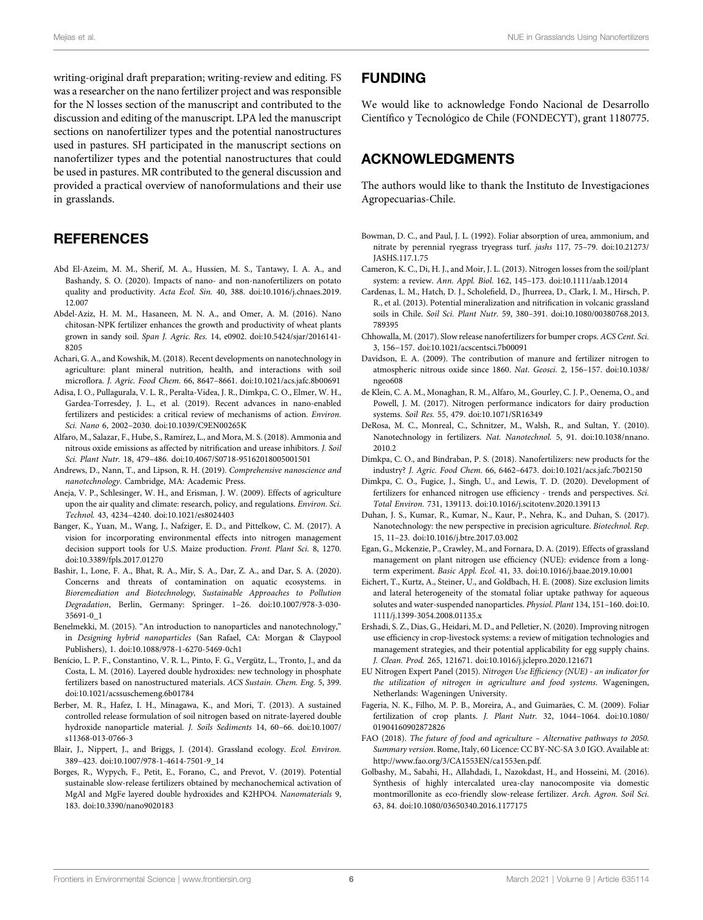writing-original draft preparation; writing-review and editing. FS was a researcher on the nano fertilizer project and was responsible for the N losses section of the manuscript and contributed to the discussion and editing of the manuscript. LPA led the manuscript sections on nanofertilizer types and the potential nanostructures used in pastures. SH participated in the manuscript sections on nanofertilizer types and the potential nanostructures that could be used in pastures. MR contributed to the general discussion and provided a practical overview of nanoformulations and their use in grasslands.

### **REFERENCES**

- <span id="page-5-23"></span>Abd El-Azeim, M. M., Sherif, M. A., Hussien, M. S., Tantawy, I. A. A., and Bashandy, S. O. (2020). Impacts of nano- and non-nanofertilizers on potato quality and productivity. Acta Ecol. Sin. 40, 388. doi[:10.1016/j.chnaes.2019.](https://doi.org/10.1016/j.chnaes.2019.12.007) [12.007](https://doi.org/10.1016/j.chnaes.2019.12.007)
- <span id="page-5-25"></span>Abdel-Aziz, H. M. M., Hasaneen, M. N. A., and Omer, A. M. (2016). Nano chitosan-NPK fertilizer enhances the growth and productivity of wheat plants grown in sandy soil. Span J. Agric. Res. 14, e0902. doi:[10.5424/sjar/2016141-](https://doi.org/10.5424/sjar/2016141-8205) [8205](https://doi.org/10.5424/sjar/2016141-8205)
- <span id="page-5-30"></span>Achari, G. A., and Kowshik, M. (2018). Recent developments on nanotechnology in agriculture: plant mineral nutrition, health, and interactions with soil microflora. J. Agric. Food Chem. 66, 8647–8661. doi:[10.1021/acs.jafc.8b00691](https://doi.org/10.1021/acs.jafc.8b00691)
- <span id="page-5-7"></span>Adisa, I. O., Pullagurala, V. L. R., Peralta-Videa, J. R., Dimkpa, C. O., Elmer, W. H., Gardea-Torresdey, J. L., et al. (2019). Recent advances in nano-enabled fertilizers and pesticides: a critical review of mechanisms of action. Environ. Sci. Nano 6, 2002–2030. doi[:10.1039/C9EN00265K](https://doi.org/10.1039/C9EN00265K)
- <span id="page-5-17"></span>Alfaro, M., Salazar, F., Hube, S., Ramírez, L., and Mora, M. S. (2018). Ammonia and nitrous oxide emissions as affected by nitrification and urease inhibitors. J. Soil Sci. Plant Nutr. 18, 479–486. doi[:10.4067/S0718-95162018005001501](https://doi.org/10.4067/S0718-95162018005001501)
- <span id="page-5-4"></span>Andrews, D., Nann, T., and Lipson, R. H. (2019). Comprehensive nanoscience and nanotechnology. Cambridge, MA: Academic Press.
- <span id="page-5-16"></span>Aneja, V. P., Schlesinger, W. H., and Erisman, J. W. (2009). Effects of agriculture upon the air quality and climate: research, policy, and regulations. Environ. Sci. Technol. 43, 4234–4240. doi:[10.1021/es8024403](https://doi.org/10.1021/es8024403)
- <span id="page-5-2"></span>Banger, K., Yuan, M., Wang, J., Nafziger, E. D., and Pittelkow, C. M. (2017). A vision for incorporating environmental effects into nitrogen management decision support tools for U.S. Maize production. Front. Plant Sci. 8, 1270. doi:[10.3389/fpls.2017.01270](https://doi.org/10.3389/fpls.2017.01270)
- <span id="page-5-1"></span>Bashir, I., Lone, F. A., Bhat, R. A., Mir, S. A., Dar, Z. A., and Dar, S. A. (2020). Concerns and threats of contamination on aquatic ecosystems. in Bioremediation and Biotechnology, Sustainable Approaches to Pollution Degradation, Berlin, Germany: Springer. 1–26. doi:[10.1007/978-3-030-](https://doi.org/10.1007/978-3-030-35691-0_1) [35691-0\\_1](https://doi.org/10.1007/978-3-030-35691-0_1)
- <span id="page-5-5"></span>Benelmekki, M. (2015). "An introduction to nanoparticles and nanotechnology," in Designing hybrid nanoparticles (San Rafael, CA: Morgan & Claypool Publishers), 1. doi:[10.1088/978-1-6270-5469-0ch1](https://doi.org/10.1088/978-1-6270-5469-0ch1)
- <span id="page-5-22"></span>Benício, L. P. F., Constantino, V. R. L., Pinto, F. G., Vergütz, L., Tronto, J., and da Costa, L. M. (2016). Layered double hydroxides: new technology in phosphate fertilizers based on nanostructured materials. ACS Sustain. Chem. Eng. 5, 399. doi:[10.1021/acssuschemeng.6b01784](https://doi.org/10.1021/acssuschemeng.6b01784)
- <span id="page-5-21"></span>Berber, M. R., Hafez, I. H., Minagawa, K., and Mori, T. (2013). A sustained controlled release formulation of soil nitrogen based on nitrate-layered double hydroxide nanoparticle material. J. Soils Sediments 14, 60–66. doi:[10.1007/](https://doi.org/10.1007/s11368-013-0766-3) [s11368-013-0766-3](https://doi.org/10.1007/s11368-013-0766-3)
- <span id="page-5-27"></span>Blair, J., Nippert, J., and Briggs, J. (2014). Grassland ecology. Ecol. Environ. 389–423. doi:[10.1007/978-1-4614-7501-9\\_14](https://doi.org/10.1007/978-1-4614-7501-9_14)
- <span id="page-5-9"></span>Borges, R., Wypych, F., Petit, E., Forano, C., and Prevot, V. (2019). Potential sustainable slow-release fertilizers obtained by mechanochemical activation of MgAl and MgFe layered double hydroxides and K2HPO4. Nanomaterials 9, 183. doi[:10.3390/nano9020183](https://doi.org/10.3390/nano9020183)

### FUNDING

We would like to acknowledge Fondo Nacional de Desarrollo Científico y Tecnológico de Chile (FONDECYT), grant 1180775.

### ACKNOWLEDGMENTS

The authors would like to thank the Instituto de Investigaciones Agropecuarias-Chile.

- <span id="page-5-12"></span>Bowman, D. C., and Paul, J. L. (1992). Foliar absorption of urea, ammonium, and nitrate by perennial ryegrass tryegrass turf. jashs 117, 75–79. doi:[10.21273/](https://doi.org/10.21273/JASHS.117.1.75) [JASHS.117.1.75](https://doi.org/10.21273/JASHS.117.1.75)
- <span id="page-5-15"></span>Cameron, K. C., Di, H. J., and Moir, J. L. (2013). Nitrogen losses from the soil/plant system: a review. Ann. Appl. Biol. 162, 145–173. doi[:10.1111/aab.12014](https://doi.org/10.1111/aab.12014)
- <span id="page-5-28"></span>Cardenas, L. M., Hatch, D. J., Scholefield, D., Jhurreea, D., Clark, I. M., Hirsch, P. R., et al. (2013). Potential mineralization and nitrification in volcanic grassland soils in Chile. Soil Sci. Plant Nutr. 59, 380–391. doi[:10.1080/00380768.2013.](https://doi.org/10.1080/00380768.2013.789395) [789395](https://doi.org/10.1080/00380768.2013.789395)
- <span id="page-5-24"></span>Chhowalla, M. (2017). Slow release nanofertilizers for bumper crops. ACS Cent. Sci. 3, 156−157. doi[:10.1021/acscentsci.7b00091](https://doi.org/10.1021/acscentsci.7b00091)
- <span id="page-5-3"></span>Davidson, E. A. (2009). The contribution of manure and fertilizer nitrogen to atmospheric nitrous oxide since 1860. Nat. Geosci. 2, 156–157. doi[:10.1038/](https://doi.org/10.1038/ngeo608) [ngeo608](https://doi.org/10.1038/ngeo608)
- <span id="page-5-14"></span>de Klein, C. A. M., Monaghan, R. M., Alfaro, M., Gourley, C. J. P., Oenema, O., and Powell, J. M. (2017). Nitrogen performance indicators for dairy production systems. Soil Res. 55, 479. doi:[10.1071/SR16349](https://doi.org/10.1071/SR16349)
- <span id="page-5-6"></span>DeRosa, M. C., Monreal, C., Schnitzer, M., Walsh, R., and Sultan, Y. (2010). Nanotechnology in fertilizers. Nat. Nanotechnol. 5, 91. doi:[10.1038/nnano.](https://doi.org/10.1038/nnano.2010.2) [2010.2](https://doi.org/10.1038/nnano.2010.2)
- <span id="page-5-11"></span>Dimkpa, C. O., and Bindraban, P. S. (2018). Nanofertilizers: new products for the industry? J. Agric. Food Chem. 66, 6462–6473. doi[:10.1021/acs.jafc.7b02150](https://doi.org/10.1021/acs.jafc.7b02150)
- <span id="page-5-18"></span>Dimkpa, C. O., Fugice, J., Singh, U., and Lewis, T. D. (2020). Development of fertilizers for enhanced nitrogen use efficiency - trends and perspectives. Sci. Total Environ. 731, 139113. doi:[10.1016/j.scitotenv.2020.139113](https://doi.org/10.1016/j.scitotenv.2020.139113)
- <span id="page-5-10"></span>Duhan, J. S., Kumar, R., Kumar, N., Kaur, P., Nehra, K., and Duhan, S. (2017). Nanotechnology: the new perspective in precision agriculture. Biotechnol. Rep. 15, 11–23. doi:[10.1016/j.btre.2017.03.002](https://doi.org/10.1016/j.btre.2017.03.002)
- <span id="page-5-19"></span>Egan, G., Mckenzie, P., Crawley, M., and Fornara, D. A. (2019). Effects of grassland management on plant nitrogen use efficiency (NUE): evidence from a longterm experiment. Basic Appl. Ecol. 41, 33. doi:[10.1016/j.baae.2019.10.001](https://doi.org/10.1016/j.baae.2019.10.001)
- <span id="page-5-26"></span>Eichert, T., Kurtz, A., Steiner, U., and Goldbach, H. E. (2008). Size exclusion limits and lateral heterogeneity of the stomatal foliar uptake pathway for aqueous solutes and water-suspended nanoparticles. Physiol. Plant 134, 151–160. doi[:10.](https://doi.org/10.1111/j.1399-3054.2008.01135.x) [1111/j.1399-3054.2008.01135.x](https://doi.org/10.1111/j.1399-3054.2008.01135.x)
- <span id="page-5-20"></span>Ershadi, S. Z., Dias, G., Heidari, M. D., and Pelletier, N. (2020). Improving nitrogen use efficiency in crop-livestock systems: a review of mitigation technologies and management strategies, and their potential applicability for egg supply chains. J. Clean. Prod. 265, 121671. doi:[10.1016/j.jclepro.2020.121671](https://doi.org/10.1016/j.jclepro.2020.121671)
- <span id="page-5-13"></span>EU Nitrogen Expert Panel (2015). Nitrogen Use Efficiency (NUE) - an indicator for the utilization of nitrogen in agriculture and food systems. Wageningen, Netherlands: Wageningen University.
- <span id="page-5-29"></span>Fageria, N. K., Filho, M. P. B., Moreira, A., and Guimarães, C. M. (2009). Foliar fertilization of crop plants. J. Plant Nutr. 32, 1044–1064. doi[:10.1080/](https://doi.org/10.1080/01904160902872826) [01904160902872826](https://doi.org/10.1080/01904160902872826)
- <span id="page-5-0"></span>FAO (2018). The future of food and agriculture – Alternative pathways to 2050. Summary version. Rome, Italy, 60 Licence: CC BY-NC-SA 3.0 IGO. Available at: [http://www.fao.org/3/CA1553EN/ca1553en.pdf.](http://www.fao.org/3/CA1553EN/ca1553en.pdf)
- <span id="page-5-8"></span>Golbashy, M., Sabahi, H., Allahdadi, I., Nazokdast, H., and Hosseini, M. (2016). Synthesis of highly intercalated urea-clay nanocomposite via domestic montmorillonite as eco-friendly slow-release fertilizer. Arch. Agron. Soil Sci. 63, 84. doi:[10.1080/03650340.2016.1177175](https://doi.org/10.1080/03650340.2016.1177175)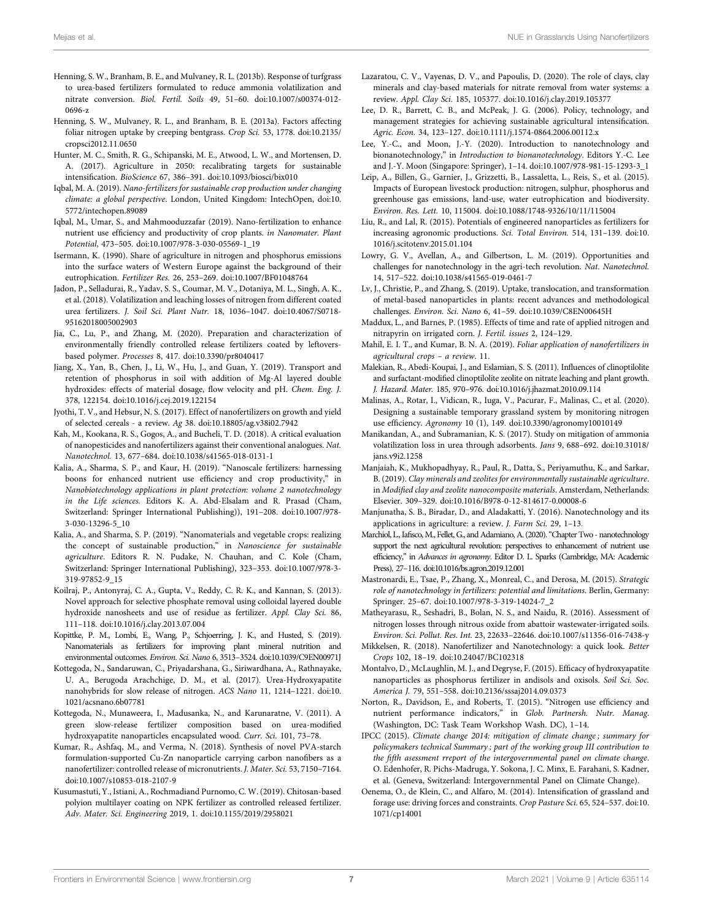- <span id="page-6-19"></span>Henning, S. W., Branham, B. E., and Mulvaney, R. L. (2013b). Response of turfgrass to urea-based fertilizers formulated to reduce ammonia volatilization and nitrate conversion. Biol. Fertil. Soils 49, 51–60. doi:[10.1007/s00374-012-](https://doi.org/10.1007/s00374-012-0696-z) [0696-z](https://doi.org/10.1007/s00374-012-0696-z)
- <span id="page-6-9"></span>Henning, S. W., Mulvaney, R. L., and Branham, B. E. (2013a). Factors affecting foliar nitrogen uptake by creeping bentgrass. Crop Sci. 53, 1778. doi:[10.2135/](https://doi.org/10.2135/cropsci2012.11.0650) [cropsci2012.11.0650](https://doi.org/10.2135/cropsci2012.11.0650)
- <span id="page-6-0"></span>Hunter, M. C., Smith, R. G., Schipanski, M. E., Atwood, L. W., and Mortensen, D. A. (2017). Agriculture in 2050: recalibrating targets for sustainable intensification. BioScience 67, 386–391. doi[:10.1093/biosci/bix010](https://doi.org/10.1093/biosci/bix010)
- <span id="page-6-40"></span>Iqbal, M. A. (2019). Nano-fertilizers for sustainable crop production under changing climate: a global perspective. London, United Kingdom: IntechOpen, doi[:10.](https://doi.org/10.5772/intechopen.89089) [5772/intechopen.89089](https://doi.org/10.5772/intechopen.89089)
- <span id="page-6-13"></span>Iqbal, M., Umar, S., and Mahmooduzzafar (2019). Nano-fertilization to enhance nutrient use efficiency and productivity of crop plants. in Nanomater. Plant Potential, 473–505. doi:[10.1007/978-3-030-05569-1\\_19](https://doi.org/10.1007/978-3-030-05569-1_19)
- <span id="page-6-16"></span>Isermann, K. (1990). Share of agriculture in nitrogen and phosphorus emissions into the surface waters of Western Europe against the background of their eutrophication. Fertilizer Res. 26, 253–269. doi[:10.1007/BF01048764](https://doi.org/10.1007/BF01048764)
- <span id="page-6-18"></span>Jadon, P., Selladurai, R., Yadav, S. S., Coumar, M. V., Dotaniya, M. L., Singh, A. K., et al. (2018). Volatilization and leaching losses of nitrogen from different coated urea fertilizers. J. Soil Sci. Plant Nutr. 18, 1036–1047. doi[:10.4067/S0718-](https://doi.org/10.4067/S0718-95162018005002903) [95162018005002903](https://doi.org/10.4067/S0718-95162018005002903)
- <span id="page-6-37"></span>Jia, C., Lu, P., and Zhang, M. (2020). Preparation and characterization of environmentally friendly controlled release fertilizers coated by leftoversbased polymer. Processes 8, 417. doi[:10.3390/pr8040417](https://doi.org/10.3390/pr8040417)
- <span id="page-6-29"></span>Jiang, X., Yan, B., Chen, J., Li, W., Hu, J., and Guan, Y. (2019). Transport and retention of phosphorus in soil with addition of Mg-Al layered double hydroxides: effects of material dosage, flow velocity and pH. Chem. Eng. J. 378, 122154. doi[:10.1016/j.cej.2019.122154](https://doi.org/10.1016/j.cej.2019.122154)
- <span id="page-6-20"></span>Jyothi, T. V., and Hebsur, N. S. (2017). Effect of nanofertilizers on growth and yield of selected cereals - a review. Ag 38. doi[:10.18805/ag.v38i02.7942](https://doi.org/10.18805/ag.v38i02.7942)
- <span id="page-6-24"></span>Kah, M., Kookana, R. S., Gogos, A., and Bucheli, T. D. (2018). A critical evaluation of nanopesticides and nanofertilizers against their conventional analogues. Nat. Nanotechnol. 13, 677–684. doi:[10.1038/s41565-018-0131-1](https://doi.org/10.1038/s41565-018-0131-1)
- <span id="page-6-22"></span>Kalia, A., Sharma, S. P., and Kaur, H. (2019). "Nanoscale fertilizers: harnessing boons for enhanced nutrient use efficiency and crop productivity," in Nanobiotechnology applications in plant protection: volume 2 nanotechnology in the Life sciences. Editors K. A. Abd-Elsalam and R. Prasad (Cham, Switzerland: Springer International Publishing)), 191–208. doi[:10.1007/978-](https://doi.org/10.1007/978-3-030-13296-5_10) [3-030-13296-5\\_10](https://doi.org/10.1007/978-3-030-13296-5_10)
- <span id="page-6-23"></span>Kalia, A., and Sharma, S. P. (2019). "Nanomaterials and vegetable crops: realizing the concept of sustainable production," in Nanoscience for sustainable agriculture. Editors R. N. Pudake, N. Chauhan, and C. Kole (Cham, Switzerland: Springer International Publishing), 323–353. doi:[10.1007/978-3-](https://doi.org/10.1007/978-3-319-97852-9_15) [319-97852-9\\_15](https://doi.org/10.1007/978-3-319-97852-9_15)
- <span id="page-6-28"></span>Koilraj, P., Antonyraj, C. A., Gupta, V., Reddy, C. R. K., and Kannan, S. (2013). Novel approach for selective phosphate removal using colloidal layered double hydroxide nanosheets and use of residue as fertilizer. Appl. Clay Sci. 86, 111–118. doi:[10.1016/j.clay.2013.07.004](https://doi.org/10.1016/j.clay.2013.07.004)
- <span id="page-6-25"></span>Kopittke, P. M., Lombi, E., Wang, P., Schjoerring, J. K., and Husted, S. (2019). Nanomaterials as fertilizers for improving plant mineral nutrition and environmental outcomes. Environ. Sci. Nano 6, 3513–3524. doi[:10.1039/C9EN00971J](https://doi.org/10.1039/C9EN00971J)
- <span id="page-6-6"></span>Kottegoda, N., Sandaruwan, C., Priyadarshana, G., Siriwardhana, A., Rathnayake, U. A., Berugoda Arachchige, D. M., et al. (2017). Urea-Hydroxyapatite nanohybrids for slow release of nitrogen. ACS Nano 11, 1214–1221. doi[:10.](https://doi.org/10.1021/acsnano.6b07781) [1021/acsnano.6b07781](https://doi.org/10.1021/acsnano.6b07781)
- <span id="page-6-32"></span>Kottegoda, N., Munaweera, I., Madusanka, N., and Karunaratne, V. (2011). A green slow-release fertilizer composition based on urea-modified hydroxyapatite nanoparticles encapsulated wood. Curr. Sci. 101, 73-78.
- <span id="page-6-4"></span>Kumar, R., Ashfaq, M., and Verma, N. (2018). Synthesis of novel PVA-starch formulation-supported Cu-Zn nanoparticle carrying carbon nanofibers as a nanofertilizer: controlled release of micronutrients. J. Mater. Sci. 53, 7150–7164. doi:[10.1007/s10853-018-2107-9](https://doi.org/10.1007/s10853-018-2107-9)
- <span id="page-6-35"></span>Kusumastuti, Y., Istiani, A., Rochmadiand Purnomo, C. W. (2019). Chitosan-based polyion multilayer coating on NPK fertilizer as controlled released fertilizer. Adv. Mater. Sci. Engineering 2019, 1. doi[:10.1155/2019/2958021](https://doi.org/10.1155/2019/2958021)
- <span id="page-6-27"></span>Lazaratou, C. V., Vayenas, D. V., and Papoulis, D. (2020). The role of clays, clay minerals and clay-based materials for nitrate removal from water systems: a review. Appl. Clay Sci. 185, 105377. doi:[10.1016/j.clay.2019.105377](https://doi.org/10.1016/j.clay.2019.105377)
- <span id="page-6-1"></span>Lee, D. R., Barrett, C. B., and McPeak, J. G. (2006). Policy, technology, and management strategies for achieving sustainable agricultural intensification. Agric. Econ. 34, 123–127. doi[:10.1111/j.1574-0864.2006.00112.x](https://doi.org/10.1111/j.1574-0864.2006.00112.x)
- <span id="page-6-2"></span>Lee, Y.-C., and Moon, J.-Y. (2020). Introduction to nanotechnology and bionanotechnology," in Introduction to bionanotechnology. Editors Y.-C. Lee and J.-Y. Moon (Singapore: Springer), 1–14. doi:[10.1007/978-981-15-1293-3\\_1](https://doi.org/10.1007/978-981-15-1293-3_1)
- <span id="page-6-17"></span>Leip, A., Billen, G., Garnier, J., Grizzetti, B., Lassaletta, L., Reis, S., et al. (2015). Impacts of European livestock production: nitrogen, sulphur, phosphorus and greenhouse gas emissions, land-use, water eutrophication and biodiversity. Environ. Res. Lett. 10, 115004. doi:[10.1088/1748-9326/10/11/115004](https://doi.org/10.1088/1748-9326/10/11/115004)
- <span id="page-6-33"></span>Liu, R., and Lal, R. (2015). Potentials of engineered nanoparticles as fertilizers for increasing agronomic productions. Sci. Total Environ. 514, 131–139. doi[:10.](https://doi.org/10.1016/j.scitotenv.2015.01.104) [1016/j.scitotenv.2015.01.104](https://doi.org/10.1016/j.scitotenv.2015.01.104)
- <span id="page-6-7"></span>Lowry, G. V., Avellan, A., and Gilbertson, L. M. (2019). Opportunities and challenges for nanotechnology in the agri-tech revolution. Nat. Nanotechnol. 14, 517–522. doi[:10.1038/s41565-019-0461-7](https://doi.org/10.1038/s41565-019-0461-7)
- <span id="page-6-39"></span>Lv, J., Christie, P., and Zhang, S. (2019). Uptake, translocation, and transformation of metal-based nanoparticles in plants: recent advances and methodological challenges. Environ. Sci. Nano 6, 41–59. doi[:10.1039/C8EN00645H](https://doi.org/10.1039/C8EN00645H)
- <span id="page-6-12"></span>Maddux, L., and Barnes, P. (1985). Effects of time and rate of applied nitrogen and nitrapyrin on irrigated corn. J. Fertil. issues 2, 124–129.
- <span id="page-6-36"></span>Mahil, E. I. T., and Kumar, B. N. A. (2019). Foliar application of nanofertilizers in agricultural crops – a review. 11.
- <span id="page-6-34"></span>Malekian, R., Abedi-Koupai, J., and Eslamian, S. S. (2011). Influences of clinoptilolite and surfactant-modified clinoptilolite zeolite on nitrate leaching and plant growth. J. Hazard. Mater. 185, 970–976. doi[:10.1016/j.jhazmat.2010.09.114](https://doi.org/10.1016/j.jhazmat.2010.09.114)
- <span id="page-6-21"></span>Malinas, A., Rotar, I., Vidican, R., Iuga, V., Pacurar, F., Malinas, C., et al. (2020). Designing a sustainable temporary grassland system by monitoring nitrogen use efficiency. Agronomy 10 (1), 149. doi[:10.3390/agronomy10010149](https://doi.org/10.3390/agronomy10010149)
- <span id="page-6-38"></span>Manikandan, A., and Subramanian, K. S. (2017). Study on mitigation of ammonia volatilization loss in urea through adsorbents. Jans 9, 688–692. doi:[10.31018/](https://doi.org/10.31018/jans.v9i2.1258) [jans.v9i2.1258](https://doi.org/10.31018/jans.v9i2.1258)
- <span id="page-6-30"></span>Manjaiah, K., Mukhopadhyay, R., Paul, R., Datta, S., Periyamuthu, K., and Sarkar, B. (2019). Clay minerals and zeolites for environmentally sustainable agriculture. in Modified clay and zeolite nanocomposite materials. Amsterdam, Netherlands: Elsevier. 309–329. doi[:10.1016/B978-0-12-814617-0.00008-6](https://doi.org/10.1016/B978-0-12-814617-0.00008-6)
- <span id="page-6-8"></span>Manjunatha, S. B., Biradar, D., and Aladakatti, Y. (2016). Nanotechnology and its applications in agriculture: a review. J. Farm Sci. 29, 1–13.
- <span id="page-6-3"></span>Marchiol, L., Iafisco, M., Fellet, G., and Adamiano, A. (2020)."Chapter Two - nanotechnology support the next agricultural revolution: perspectives to enhancement of nutrient use efficiency," in Advances in agronomy. Editor D. L. Sparks (Cambridge, MA: Academic Press), 27–116. doi[:10.1016/bs.agron.2019.12.001](https://doi.org/10.1016/bs.agron.2019.12.001)
- <span id="page-6-5"></span>Mastronardi, E., Tsae, P., Zhang, X., Monreal, C., and Derosa, M. (2015). Strategic role of nanotechnology in fertilizers: potential and limitations. Berlin, Germany: Springer. 25–67. doi[:10.1007/978-3-319-14024-7\\_2](https://doi.org/10.1007/978-3-319-14024-7_2)
- <span id="page-6-15"></span>Matheyarasu, R., Seshadri, B., Bolan, N. S., and Naidu, R. (2016). Assessment of nitrogen losses through nitrous oxide from abattoir wastewater-irrigated soils. Environ. Sci. Pollut. Res. Int. 23, 22633–22646. doi[:10.1007/s11356-016-7438-y](https://doi.org/10.1007/s11356-016-7438-y)
- <span id="page-6-26"></span>Mikkelsen, R. (2018). Nanofertilizer and Nanotechnology: a quick look. Better Crops 102, 18–19. doi:[10.24047/BC102318](https://doi.org/10.24047/BC102318)
- <span id="page-6-31"></span>Montalvo, D., McLaughlin, M. J., and Degryse, F. (2015). Efficacy of hydroxyapatite nanoparticles as phosphorus fertilizer in andisols and oxisols. Soil Sci. Soc. America J. 79, 551–558. doi:[10.2136/sssaj2014.09.0373](https://doi.org/10.2136/sssaj2014.09.0373)
- <span id="page-6-11"></span>Norton, R., Davidson, E., and Roberts, T. (2015). "Nitrogen use efficiency and nutrient performance indicators," in Glob. Partnersh. Nutr. Manag. (Washington, DC: Task Team Workshop Wash. DC), 1–14.
- <span id="page-6-14"></span>IPCC (2015). Climate change 2014: mitigation of climate change ; summary for policymakers technical Summary ; part of the working group III contribution to the fifth asessment rreport of the intergovernmental panel on climate change. O. Edenhofer, R. Pichs-Madruga, Y. Sokona, J. C. Minx, E. Farahani, S. Kadner, et al. (Geneva, Switzerland: Intergovernmental Panel on Climate Change).
- <span id="page-6-10"></span>Oenema, O., de Klein, C., and Alfaro, M. (2014). Intensification of grassland and forage use: driving forces and constraints. Crop Pasture Sci. 65, 524–537. doi[:10.](https://doi.org/10.1071/cp14001) [1071/cp14001](https://doi.org/10.1071/cp14001)